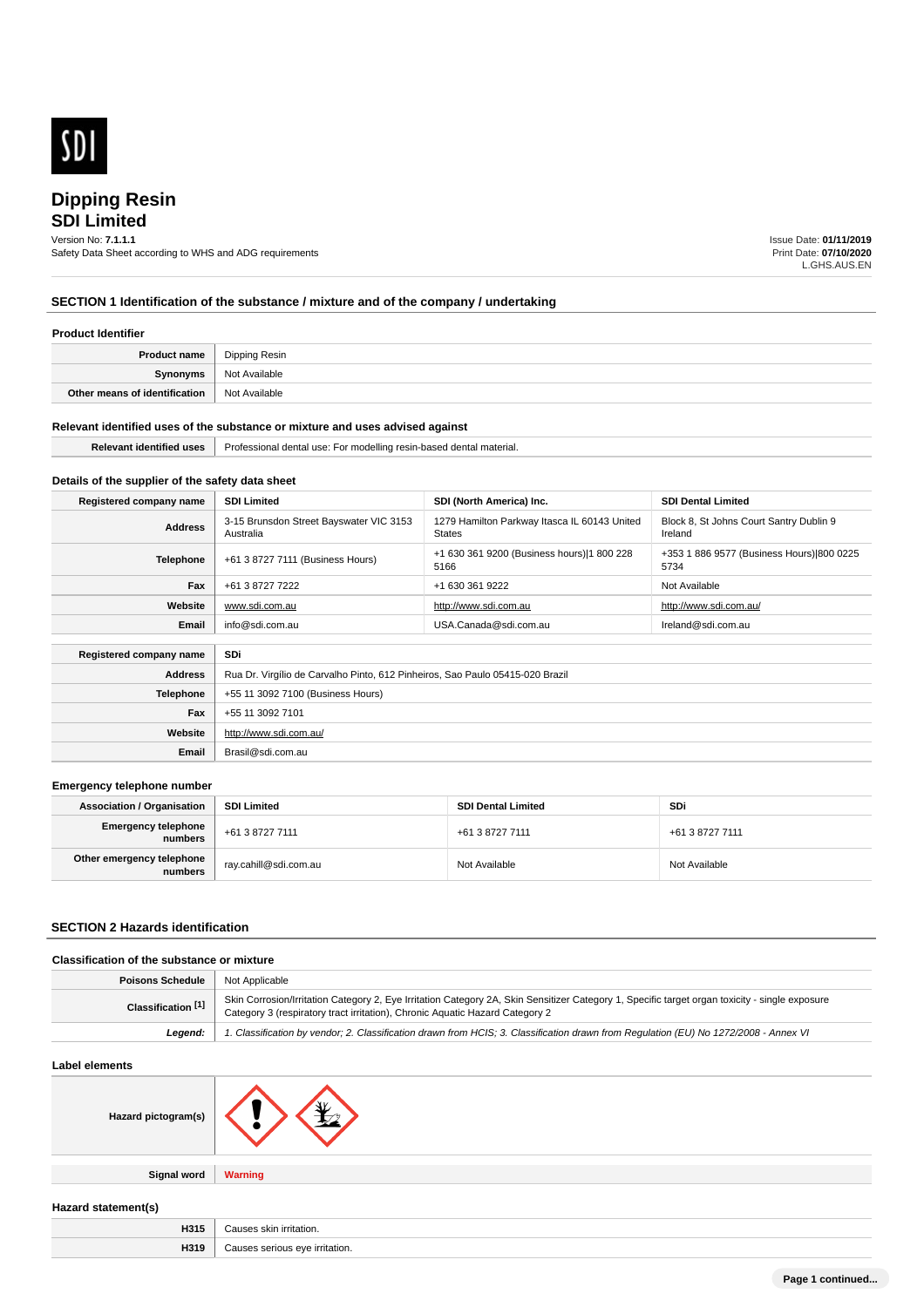

# **SDI Limited**

Version No: **7.1.1.1** Safety Data Sheet according to WHS and ADG requirements Issue Date: **01/11/2019** Print Date: **07/10/2020** L.GHS.AUS.EN

# **SECTION 1 Identification of the substance / mixture and of the company / undertaking**

#### **Product Identifier**

| <b>Product name</b>           | Dipping Resin |
|-------------------------------|---------------|
| Synonyms                      | Not Available |
| Other means of identification | Not Available |

#### **Relevant identified uses of the substance or mixture and uses advised against**

**Email** Brasil@sdi.com.au

| . | 1194<br>modelling<br>.<br>ы к<br>.<br>$ -$<br>$\cdots$<br>,,,,,,<br>$\cdots$ |
|---|------------------------------------------------------------------------------|
|   |                                                                              |

# **Details of the supplier of the safety data sheet**

| Registered company name | <b>SDI Limited</b>                                                            | SDI (North America) Inc.                               | <b>SDI Dental Limited</b>                          |
|-------------------------|-------------------------------------------------------------------------------|--------------------------------------------------------|----------------------------------------------------|
| <b>Address</b>          | 3-15 Brunsdon Street Bayswater VIC 3153<br>Australia                          | 1279 Hamilton Parkway Itasca IL 60143 United<br>States | Block 8, St Johns Court Santry Dublin 9<br>Ireland |
| <b>Telephone</b>        | +61 3 8727 7111 (Business Hours)                                              | +1 630 361 9200 (Business hours) 1 800 228<br>5166     | +353 1 886 9577 (Business Hours) 800 0225<br>5734  |
| Fax                     | +61 3 8727 7222                                                               | +1 630 361 9222                                        | Not Available                                      |
| Website                 | www.sdi.com.au                                                                | http://www.sdi.com.au                                  | http://www.sdi.com.au/                             |
| Email                   | info@sdi.com.au                                                               | USA.Canada@sdi.com.au                                  | Ireland@sdi.com.au                                 |
| Registered company name | SDi                                                                           |                                                        |                                                    |
| <b>Address</b>          | Rua Dr. Virgílio de Carvalho Pinto, 612 Pinheiros, Sao Paulo 05415-020 Brazil |                                                        |                                                    |
| <b>Telephone</b>        | +55 11 3092 7100 (Business Hours)                                             |                                                        |                                                    |
| Fax                     | +55 11 3092 7101                                                              |                                                        |                                                    |
| Website                 | http://www.sdi.com.au/                                                        |                                                        |                                                    |

#### **Emergency telephone number**

| <b>Association / Organisation</b>     | <b>SDI Limited</b>    | <b>SDI Dental Limited</b> | SDi             |
|---------------------------------------|-----------------------|---------------------------|-----------------|
| <b>Emergency telephone</b><br>numbers | +61 3 8727 7111       | +61 3 8727 7111           | +61 3 8727 7111 |
| Other emergency telephone<br>numbers  | ray.cahill@sdi.com.au | Not Available             | Not Available   |

#### **SECTION 2 Hazards identification**

# **Classification of the substance or mixture**

| <b>Poisons Schedule</b>   Not Applicable |                                                                                                                                                                                                                                |
|------------------------------------------|--------------------------------------------------------------------------------------------------------------------------------------------------------------------------------------------------------------------------------|
| Classification <sup>[1]</sup>            | Skin Corrosion/Irritation Category 2, Eye Irritation Category 2A, Skin Sensitizer Category 1, Specific target organ toxicity - single exposure<br>Category 3 (respiratory tract irritation), Chronic Aquatic Hazard Category 2 |
| Leaend:                                  | 1. Classification by vendor; 2. Classification drawn from HCIS; 3. Classification drawn from Regulation (EU) No 1272/2008 - Annex VI                                                                                           |

# **Label elements**

| Hazard pictogram(s) |  |
|---------------------|--|
|                     |  |

**Signal word Warning**

#### **Hazard statement(s)**

| H315 | .<br>$\cdot$<br>ritation.<br>. |
|------|--------------------------------|
| H319 | ritation.<br>sermus<br>.       |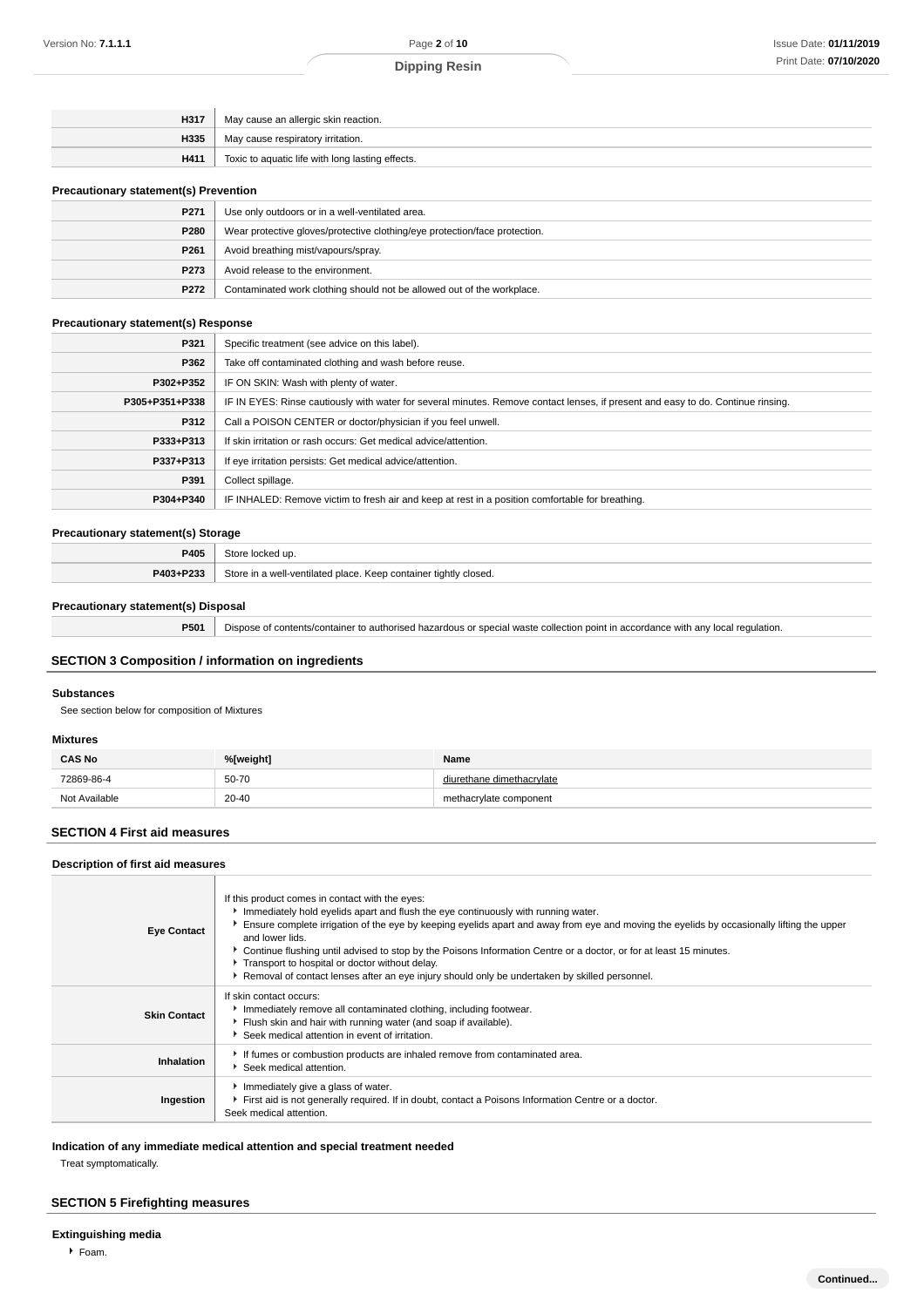| H335<br>May cause respiratory irritation. | H317 | May cause an allergic skin reaction.             |
|-------------------------------------------|------|--------------------------------------------------|
|                                           |      |                                                  |
|                                           | H411 | Toxic to aquatic life with long lasting effects. |

#### **Precautionary statement(s) Prevention**

| P271             | Use only outdoors or in a well-ventilated area.                            |
|------------------|----------------------------------------------------------------------------|
| P280             | Wear protective gloves/protective clothing/eye protection/face protection. |
| P <sub>261</sub> | Avoid breathing mist/vapours/spray.                                        |
| P273             | Avoid release to the environment.                                          |
| P272             | Contaminated work clothing should not be allowed out of the workplace.     |

# **Precautionary statement(s) Response**

| P321<br>Specific treatment (see advice on this label).<br>P362<br>Take off contaminated clothing and wash before reuse.<br>P302+P352<br>IF ON SKIN: Wash with plenty of water.<br>IF IN EYES: Rinse cautiously with water for several minutes. Remove contact lenses, if present and easy to do. Continue rinsing.<br>P305+P351+P338<br>P312<br>Call a POISON CENTER or doctor/physician if you feel unwell.<br>If skin irritation or rash occurs: Get medical advice/attention.<br>P333+P313<br>If eye irritation persists: Get medical advice/attention.<br>P337+P313<br>P391<br>Collect spillage.<br>IF INHALED: Remove victim to fresh air and keep at rest in a position comfortable for breathing.<br>P304+P340 |  |
|-----------------------------------------------------------------------------------------------------------------------------------------------------------------------------------------------------------------------------------------------------------------------------------------------------------------------------------------------------------------------------------------------------------------------------------------------------------------------------------------------------------------------------------------------------------------------------------------------------------------------------------------------------------------------------------------------------------------------|--|
|                                                                                                                                                                                                                                                                                                                                                                                                                                                                                                                                                                                                                                                                                                                       |  |
|                                                                                                                                                                                                                                                                                                                                                                                                                                                                                                                                                                                                                                                                                                                       |  |
|                                                                                                                                                                                                                                                                                                                                                                                                                                                                                                                                                                                                                                                                                                                       |  |
|                                                                                                                                                                                                                                                                                                                                                                                                                                                                                                                                                                                                                                                                                                                       |  |
|                                                                                                                                                                                                                                                                                                                                                                                                                                                                                                                                                                                                                                                                                                                       |  |
|                                                                                                                                                                                                                                                                                                                                                                                                                                                                                                                                                                                                                                                                                                                       |  |
|                                                                                                                                                                                                                                                                                                                                                                                                                                                                                                                                                                                                                                                                                                                       |  |
|                                                                                                                                                                                                                                                                                                                                                                                                                                                                                                                                                                                                                                                                                                                       |  |
|                                                                                                                                                                                                                                                                                                                                                                                                                                                                                                                                                                                                                                                                                                                       |  |

#### **Precautionary statement(s) Storage**

| P405      | Store locked up.                                                 |
|-----------|------------------------------------------------------------------|
| P403+P233 | Store in a well-ventilated place. Keep container tightly closed. |

# **Precautionary statement(s) Disposal**

**P501** Dispose of contents/container to authorised hazardous or special waste collection point in accordance with any local regulation.

# **SECTION 3 Composition / information on ingredients**

## **Substances**

See section below for composition of Mixtures

#### **Mixtures**

| <b>CAS No</b> | %[weight]           | Name                      |
|---------------|---------------------|---------------------------|
| 72869-86-4    | 50-70               | diurethane dimethacrylate |
| Not Available | $20 - 40$<br>$\sim$ | methacrylate component    |

## **SECTION 4 First aid measures**

## **Description of first aid measures**

| <b>Eye Contact</b>  | If this product comes in contact with the eyes:<br>Immediately hold eyelids apart and flush the eye continuously with running water.<br>Ensure complete irrigation of the eye by keeping eyelids apart and away from eye and moving the eyelids by occasionally lifting the upper<br>and lower lids.<br>► Continue flushing until advised to stop by the Poisons Information Centre or a doctor, or for at least 15 minutes.<br>Transport to hospital or doctor without delay.<br>▶ Removal of contact lenses after an eye injury should only be undertaken by skilled personnel. |
|---------------------|-----------------------------------------------------------------------------------------------------------------------------------------------------------------------------------------------------------------------------------------------------------------------------------------------------------------------------------------------------------------------------------------------------------------------------------------------------------------------------------------------------------------------------------------------------------------------------------|
| <b>Skin Contact</b> | If skin contact occurs:<br>Inmediately remove all contaminated clothing, including footwear.<br>Flush skin and hair with running water (and soap if available).<br>Seek medical attention in event of irritation.                                                                                                                                                                                                                                                                                                                                                                 |
| Inhalation          | If fumes or combustion products are inhaled remove from contaminated area.<br>Seek medical attention.                                                                                                                                                                                                                                                                                                                                                                                                                                                                             |
| Ingestion           | Immediately give a glass of water.<br>First aid is not generally required. If in doubt, contact a Poisons Information Centre or a doctor.<br>Seek medical attention.                                                                                                                                                                                                                                                                                                                                                                                                              |

**Indication of any immediate medical attention and special treatment needed**

Treat symptomatically.

# **SECTION 5 Firefighting measures**

**Extinguishing media**

 $F$ Foam.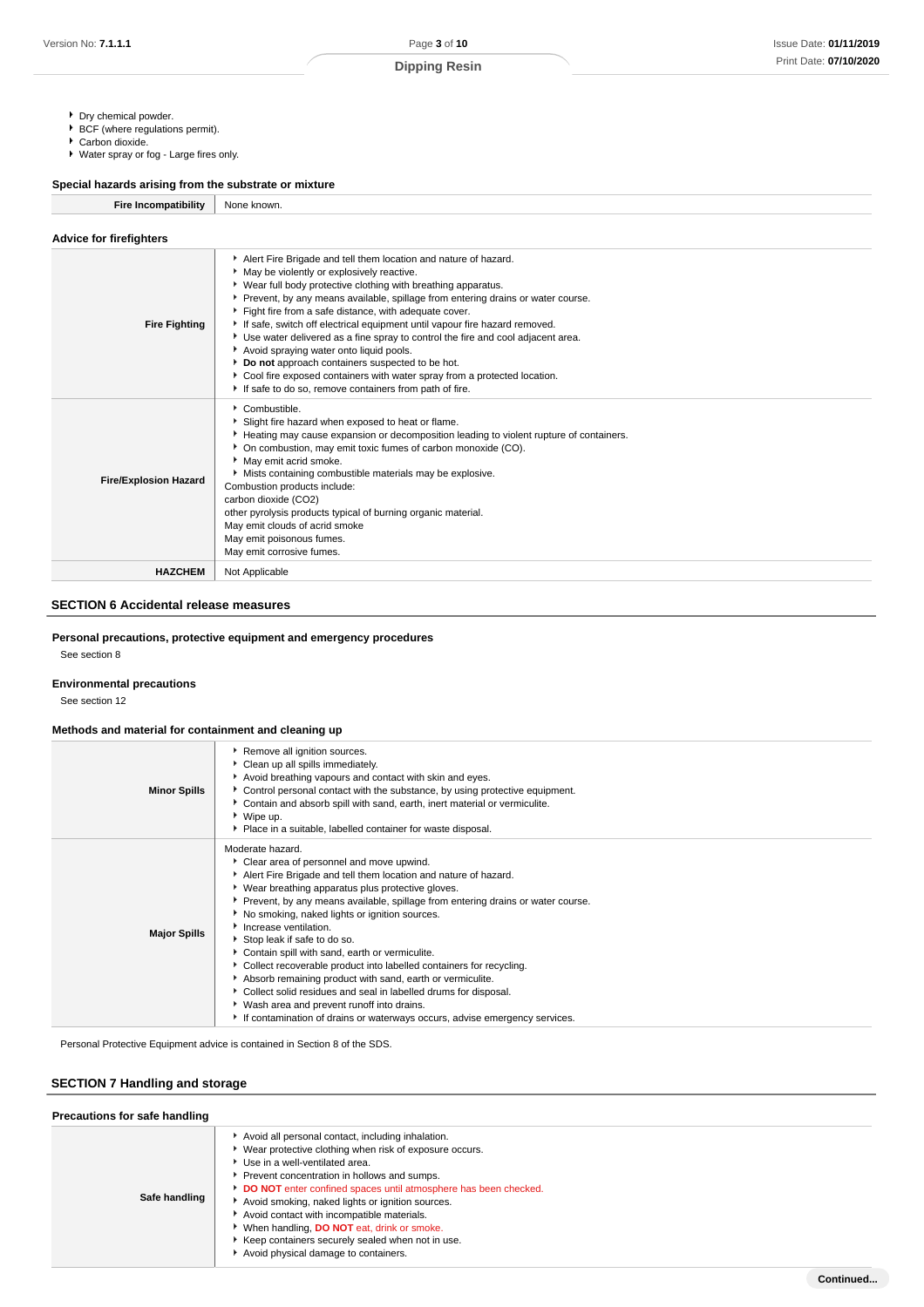- Dry chemical powder.
- BCF (where regulations permit).
- Carbon dioxide. Water spray or fog - Large fires only.

# **Special hazards arising from the substrate or mixture**

**Fire Incompatibility** None known.

| <b>Advice for firefighters</b> |                                                                                                                                                                                                                                                                                                                                                                                                                                                                                                                                                                                                                                                                                                                                 |
|--------------------------------|---------------------------------------------------------------------------------------------------------------------------------------------------------------------------------------------------------------------------------------------------------------------------------------------------------------------------------------------------------------------------------------------------------------------------------------------------------------------------------------------------------------------------------------------------------------------------------------------------------------------------------------------------------------------------------------------------------------------------------|
| <b>Fire Fighting</b>           | Alert Fire Brigade and tell them location and nature of hazard.<br>May be violently or explosively reactive.<br>▶ Wear full body protective clothing with breathing apparatus.<br>Prevent, by any means available, spillage from entering drains or water course.<br>Fight fire from a safe distance, with adequate cover.<br>If safe, switch off electrical equipment until vapour fire hazard removed.<br>Use water delivered as a fine spray to control the fire and cool adjacent area.<br>Avoid spraying water onto liquid pools.<br>Do not approach containers suspected to be hot.<br>Cool fire exposed containers with water spray from a protected location.<br>If safe to do so, remove containers from path of fire. |
| <b>Fire/Explosion Hazard</b>   | $\cdot$ Combustible.<br>Slight fire hazard when exposed to heat or flame.<br>Heating may cause expansion or decomposition leading to violent rupture of containers.<br>• On combustion, may emit toxic fumes of carbon monoxide (CO).<br>May emit acrid smoke.<br>Mists containing combustible materials may be explosive.<br>Combustion products include:<br>carbon dioxide (CO2)<br>other pyrolysis products typical of burning organic material.<br>May emit clouds of acrid smoke<br>May emit poisonous fumes.<br>May emit corrosive fumes.                                                                                                                                                                                 |
| <b>HAZCHEM</b>                 | Not Applicable                                                                                                                                                                                                                                                                                                                                                                                                                                                                                                                                                                                                                                                                                                                  |

#### **SECTION 6 Accidental release measures**

# **Personal precautions, protective equipment and emergency procedures**

See section 8

#### **Environmental precautions**

See section 12

#### **Methods and material for containment and cleaning up**

| <b>Minor Spills</b> | Remove all ignition sources.<br>Clean up all spills immediately.<br>Avoid breathing vapours and contact with skin and eyes.<br>► Control personal contact with the substance, by using protective equipment.<br>Contain and absorb spill with sand, earth, inert material or vermiculite.<br>▶ Wipe up.<br>• Place in a suitable, labelled container for waste disposal.                                                                                                                                                                                                                                                                                                                                                                                                    |
|---------------------|-----------------------------------------------------------------------------------------------------------------------------------------------------------------------------------------------------------------------------------------------------------------------------------------------------------------------------------------------------------------------------------------------------------------------------------------------------------------------------------------------------------------------------------------------------------------------------------------------------------------------------------------------------------------------------------------------------------------------------------------------------------------------------|
| <b>Major Spills</b> | Moderate hazard.<br>• Clear area of personnel and move upwind.<br>Alert Fire Brigade and tell them location and nature of hazard.<br>▶ Wear breathing apparatus plus protective gloves.<br>▶ Prevent, by any means available, spillage from entering drains or water course.<br>No smoking, naked lights or ignition sources.<br>Increase ventilation.<br>Stop leak if safe to do so.<br>Contain spill with sand, earth or vermiculite.<br>Collect recoverable product into labelled containers for recycling.<br>Absorb remaining product with sand, earth or vermiculite.<br>Collect solid residues and seal in labelled drums for disposal.<br>▶ Wash area and prevent runoff into drains.<br>If contamination of drains or waterways occurs, advise emergency services. |

Personal Protective Equipment advice is contained in Section 8 of the SDS.

# **SECTION 7 Handling and storage**

| Precautions for safe handling |                                                                                                                                                                                                                                                                                                                                                                                                                                                                                                               |  |
|-------------------------------|---------------------------------------------------------------------------------------------------------------------------------------------------------------------------------------------------------------------------------------------------------------------------------------------------------------------------------------------------------------------------------------------------------------------------------------------------------------------------------------------------------------|--|
| Safe handling                 | Avoid all personal contact, including inhalation.<br>* Wear protective clothing when risk of exposure occurs.<br>Use in a well-ventilated area.<br>Prevent concentration in hollows and sumps.<br>DO NOT enter confined spaces until atmosphere has been checked.<br>Avoid smoking, naked lights or ignition sources.<br>Avoid contact with incompatible materials.<br>When handling, DO NOT eat, drink or smoke.<br>Keep containers securely sealed when not in use.<br>Avoid physical damage to containers. |  |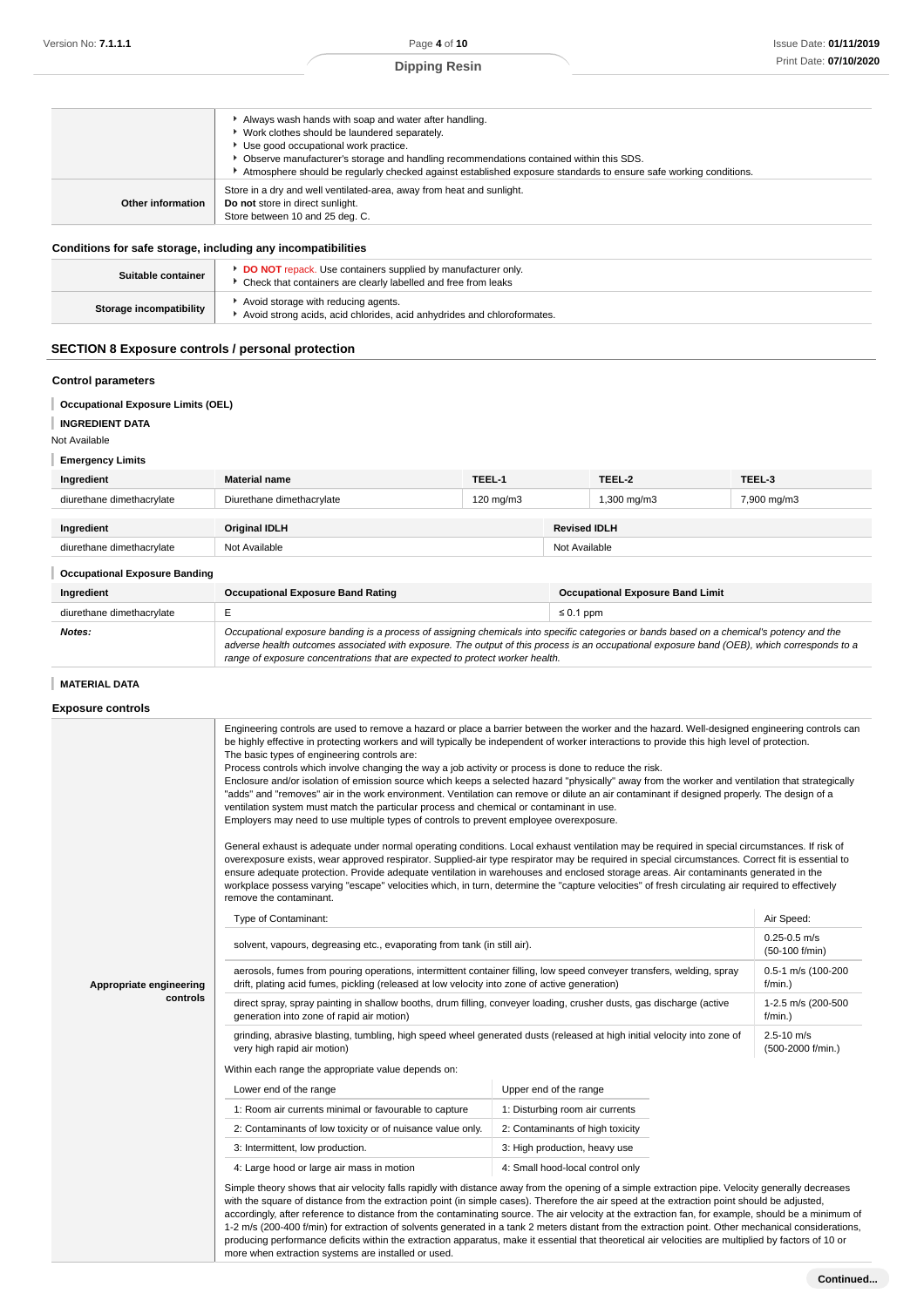|                   | Always wash hands with soap and water after handling.<br>▶ Work clothes should be laundered separately.<br>▶ Use good occupational work practice.<br>Observe manufacturer's storage and handling recommendations contained within this SDS.<br>Atmosphere should be regularly checked against established exposure standards to ensure safe working conditions. |
|-------------------|-----------------------------------------------------------------------------------------------------------------------------------------------------------------------------------------------------------------------------------------------------------------------------------------------------------------------------------------------------------------|
| Other information | Store in a dry and well ventilated-area, away from heat and sunlight.<br>Do not store in direct sunlight.<br>Store between 10 and 25 deg. C.                                                                                                                                                                                                                    |

#### **Conditions for safe storage, including any incompatibilities**

| Suitable container      | DO NOT repack. Use containers supplied by manufacturer only.<br>▶ Check that containers are clearly labelled and free from leaks |
|-------------------------|----------------------------------------------------------------------------------------------------------------------------------|
| Storage incompatibility | Avoid storage with reducing agents.<br>Avoid strong acids, acid chlorides, acid anhydrides and chloroformates.                   |

# **SECTION 8 Exposure controls / personal protection**

# **Control parameters**

#### **Occupational Exposure Limits (OEL)**

```
INGREDIENT DATA
```
#### Not Available

**Emergency Limits**

| Ingredient                           | <b>Material name</b>                                                                                                                                                                                                                                                                                                                                                     | TEEL-1    |                | TEEL-2      | TEEL-3      |
|--------------------------------------|--------------------------------------------------------------------------------------------------------------------------------------------------------------------------------------------------------------------------------------------------------------------------------------------------------------------------------------------------------------------------|-----------|----------------|-------------|-------------|
| diurethane dimethacrylate            | Diurethane dimethacrylate                                                                                                                                                                                                                                                                                                                                                | 120 mg/m3 |                | 1,300 mg/m3 | 7,900 mg/m3 |
| Ingredient                           | <b>Original IDLH</b><br><b>Revised IDLH</b>                                                                                                                                                                                                                                                                                                                              |           |                |             |             |
| diurethane dimethacrylate            | Not Available                                                                                                                                                                                                                                                                                                                                                            |           | Not Available  |             |             |
| <b>Occupational Exposure Banding</b> |                                                                                                                                                                                                                                                                                                                                                                          |           |                |             |             |
| Ingredient                           | <b>Occupational Exposure Band Rating</b><br><b>Occupational Exposure Band Limit</b>                                                                                                                                                                                                                                                                                      |           |                |             |             |
| diurethane dimethacrylate            | E                                                                                                                                                                                                                                                                                                                                                                        |           | $\leq 0.1$ ppm |             |             |
| Notes:                               | Occupational exposure banding is a process of assigning chemicals into specific categories or bands based on a chemical's potency and the<br>adverse health outcomes associated with exposure. The output of this process is an occupational exposure band (OEB), which corresponds to a<br>range of exposure concentrations that are expected to protect worker health. |           |                |             |             |

#### **MATERIAL DATA**

# **Exposure controls**

|                         | Engineering controls are used to remove a hazard or place a barrier between the worker and the hazard. Well-designed engineering controls can<br>be highly effective in protecting workers and will typically be independent of worker interactions to provide this high level of protection.<br>The basic types of engineering controls are:<br>Process controls which involve changing the way a job activity or process is done to reduce the risk.<br>Enclosure and/or isolation of emission source which keeps a selected hazard "physically" away from the worker and ventilation that strategically<br>"adds" and "removes" air in the work environment. Ventilation can remove or dilute an air contaminant if designed properly. The design of a<br>ventilation system must match the particular process and chemical or contaminant in use.<br>Employers may need to use multiple types of controls to prevent employee overexposure.<br>General exhaust is adequate under normal operating conditions. Local exhaust ventilation may be required in special circumstances. If risk of<br>overexposure exists, wear approved respirator. Supplied-air type respirator may be required in special circumstances. Correct fit is essential to<br>ensure adequate protection. Provide adequate ventilation in warehouses and enclosed storage areas. Air contaminants generated in the<br>workplace possess varying "escape" velocities which, in turn, determine the "capture velocities" of fresh circulating air required to effectively<br>remove the contaminant. |                                    |            |  |  |
|-------------------------|-------------------------------------------------------------------------------------------------------------------------------------------------------------------------------------------------------------------------------------------------------------------------------------------------------------------------------------------------------------------------------------------------------------------------------------------------------------------------------------------------------------------------------------------------------------------------------------------------------------------------------------------------------------------------------------------------------------------------------------------------------------------------------------------------------------------------------------------------------------------------------------------------------------------------------------------------------------------------------------------------------------------------------------------------------------------------------------------------------------------------------------------------------------------------------------------------------------------------------------------------------------------------------------------------------------------------------------------------------------------------------------------------------------------------------------------------------------------------------------------------------------------------------------------------------------------------------|------------------------------------|------------|--|--|
|                         | Type of Contaminant:                                                                                                                                                                                                                                                                                                                                                                                                                                                                                                                                                                                                                                                                                                                                                                                                                                                                                                                                                                                                                                                                                                                                                                                                                                                                                                                                                                                                                                                                                                                                                          |                                    | Air Speed: |  |  |
|                         | solvent, vapours, degreasing etc., evaporating from tank (in still air).                                                                                                                                                                                                                                                                                                                                                                                                                                                                                                                                                                                                                                                                                                                                                                                                                                                                                                                                                                                                                                                                                                                                                                                                                                                                                                                                                                                                                                                                                                      | $0.25 - 0.5$ m/s<br>(50-100 f/min) |            |  |  |
| Appropriate engineering | aerosols, fumes from pouring operations, intermittent container filling, low speed conveyer transfers, welding, spray<br>drift, plating acid fumes, pickling (released at low velocity into zone of active generation)                                                                                                                                                                                                                                                                                                                                                                                                                                                                                                                                                                                                                                                                                                                                                                                                                                                                                                                                                                                                                                                                                                                                                                                                                                                                                                                                                        | 0.5-1 m/s (100-200<br>$f/min.$ )   |            |  |  |
| controls                | direct spray, spray painting in shallow booths, drum filling, conveyer loading, crusher dusts, gas discharge (active<br>1-2.5 m/s (200-500<br>generation into zone of rapid air motion)<br>$f/min.$ )                                                                                                                                                                                                                                                                                                                                                                                                                                                                                                                                                                                                                                                                                                                                                                                                                                                                                                                                                                                                                                                                                                                                                                                                                                                                                                                                                                         |                                    |            |  |  |
|                         | grinding, abrasive blasting, tumbling, high speed wheel generated dusts (released at high initial velocity into zone of<br>very high rapid air motion)                                                                                                                                                                                                                                                                                                                                                                                                                                                                                                                                                                                                                                                                                                                                                                                                                                                                                                                                                                                                                                                                                                                                                                                                                                                                                                                                                                                                                        |                                    |            |  |  |
|                         | Within each range the appropriate value depends on:                                                                                                                                                                                                                                                                                                                                                                                                                                                                                                                                                                                                                                                                                                                                                                                                                                                                                                                                                                                                                                                                                                                                                                                                                                                                                                                                                                                                                                                                                                                           |                                    |            |  |  |
|                         | Lower end of the range                                                                                                                                                                                                                                                                                                                                                                                                                                                                                                                                                                                                                                                                                                                                                                                                                                                                                                                                                                                                                                                                                                                                                                                                                                                                                                                                                                                                                                                                                                                                                        | Upper end of the range             |            |  |  |
|                         | 1: Room air currents minimal or favourable to capture                                                                                                                                                                                                                                                                                                                                                                                                                                                                                                                                                                                                                                                                                                                                                                                                                                                                                                                                                                                                                                                                                                                                                                                                                                                                                                                                                                                                                                                                                                                         | 1: Disturbing room air currents    |            |  |  |
|                         | 2: Contaminants of low toxicity or of nuisance value only.                                                                                                                                                                                                                                                                                                                                                                                                                                                                                                                                                                                                                                                                                                                                                                                                                                                                                                                                                                                                                                                                                                                                                                                                                                                                                                                                                                                                                                                                                                                    | 2: Contaminants of high toxicity   |            |  |  |
|                         | 3: Intermittent, low production.                                                                                                                                                                                                                                                                                                                                                                                                                                                                                                                                                                                                                                                                                                                                                                                                                                                                                                                                                                                                                                                                                                                                                                                                                                                                                                                                                                                                                                                                                                                                              | 3: High production, heavy use      |            |  |  |
|                         | 4: Large hood or large air mass in motion                                                                                                                                                                                                                                                                                                                                                                                                                                                                                                                                                                                                                                                                                                                                                                                                                                                                                                                                                                                                                                                                                                                                                                                                                                                                                                                                                                                                                                                                                                                                     | 4: Small hood-local control only   |            |  |  |
|                         | Simple theory shows that air velocity falls rapidly with distance away from the opening of a simple extraction pipe. Velocity generally decreases<br>with the square of distance from the extraction point (in simple cases). Therefore the air speed at the extraction point should be adjusted,<br>accordingly, after reference to distance from the contaminating source. The air velocity at the extraction fan, for example, should be a minimum of<br>1-2 m/s (200-400 f/min) for extraction of solvents generated in a tank 2 meters distant from the extraction point. Other mechanical considerations,<br>producing performance deficits within the extraction apparatus, make it essential that theoretical air velocities are multiplied by factors of 10 or<br>more when extraction systems are installed or used.                                                                                                                                                                                                                                                                                                                                                                                                                                                                                                                                                                                                                                                                                                                                                |                                    |            |  |  |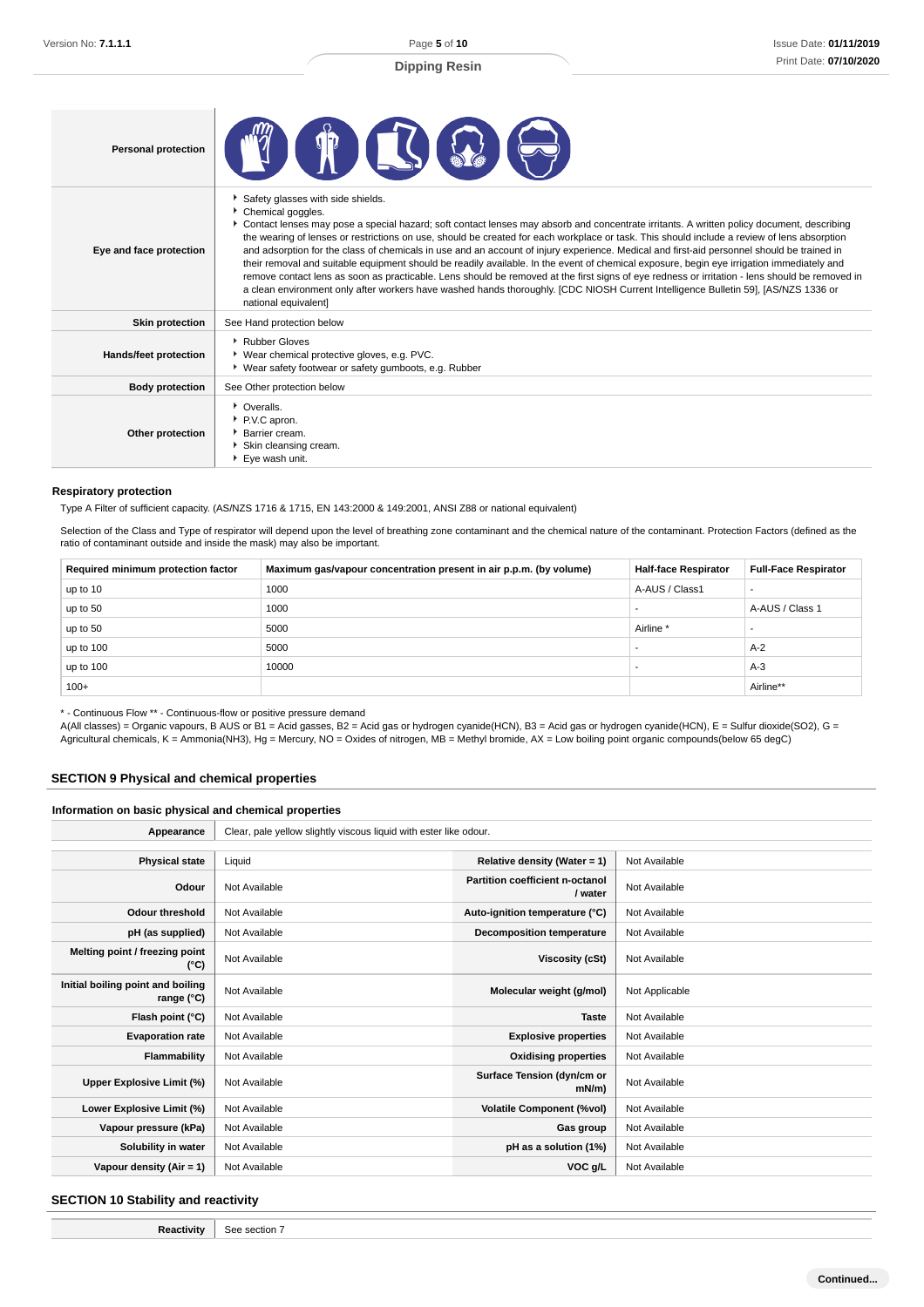| <b>Personal protection</b> | $\blacksquare$                                                                                                                                                                                                                                                                                                                                                                                                                                                                                                                                                                                                                                                                                                                                                                                                                                                                                                                                                |
|----------------------------|---------------------------------------------------------------------------------------------------------------------------------------------------------------------------------------------------------------------------------------------------------------------------------------------------------------------------------------------------------------------------------------------------------------------------------------------------------------------------------------------------------------------------------------------------------------------------------------------------------------------------------------------------------------------------------------------------------------------------------------------------------------------------------------------------------------------------------------------------------------------------------------------------------------------------------------------------------------|
| Eye and face protection    | Safety glasses with side shields.<br>Chemical goggles.<br>Contact lenses may pose a special hazard; soft contact lenses may absorb and concentrate irritants. A written policy document, describing<br>the wearing of lenses or restrictions on use, should be created for each workplace or task. This should include a review of lens absorption<br>and adsorption for the class of chemicals in use and an account of injury experience. Medical and first-aid personnel should be trained in<br>their removal and suitable equipment should be readily available. In the event of chemical exposure, begin eye irrigation immediately and<br>remove contact lens as soon as practicable. Lens should be removed at the first signs of eye redness or irritation - lens should be removed in<br>a clean environment only after workers have washed hands thoroughly. [CDC NIOSH Current Intelligence Bulletin 59], [AS/NZS 1336 or<br>national equivalent] |
| <b>Skin protection</b>     | See Hand protection below                                                                                                                                                                                                                                                                                                                                                                                                                                                                                                                                                                                                                                                                                                                                                                                                                                                                                                                                     |
| Hands/feet protection      | ▶ Rubber Gloves<br>▶ Wear chemical protective gloves, e.g. PVC.<br>▶ Wear safety footwear or safety gumboots, e.g. Rubber                                                                                                                                                                                                                                                                                                                                                                                                                                                                                                                                                                                                                                                                                                                                                                                                                                     |
| <b>Body protection</b>     | See Other protection below                                                                                                                                                                                                                                                                                                                                                                                                                                                                                                                                                                                                                                                                                                                                                                                                                                                                                                                                    |
| Other protection           | • Overalls.<br>P.V.C apron.<br>Barrier cream.<br>Skin cleansing cream.<br>▶ Eye wash unit.                                                                                                                                                                                                                                                                                                                                                                                                                                                                                                                                                                                                                                                                                                                                                                                                                                                                    |

#### **Respiratory protection**

Type A Filter of sufficient capacity. (AS/NZS 1716 & 1715, EN 143:2000 & 149:2001, ANSI Z88 or national equivalent)

Selection of the Class and Type of respirator will depend upon the level of breathing zone contaminant and the chemical nature of the contaminant. Protection Factors (defined as the ratio of contaminant outside and inside the mask) may also be important.

| Required minimum protection factor | Maximum gas/vapour concentration present in air p.p.m. (by volume) | <b>Half-face Respirator</b> | <b>Full-Face Respirator</b> |
|------------------------------------|--------------------------------------------------------------------|-----------------------------|-----------------------------|
| up to 10                           | 1000                                                               | A-AUS / Class1              |                             |
| up to 50                           | 1000                                                               |                             | A-AUS / Class 1             |
| up to 50                           | 5000                                                               | Airline                     |                             |
| up to 100                          | 5000                                                               | . .                         | $A-2$                       |
| up to 100                          | 10000                                                              |                             | $A-3$                       |
| $100+$                             |                                                                    |                             | Airline**                   |

\* - Continuous Flow \*\* - Continuous-flow or positive pressure demand

A(All classes) = Organic vapours, B AUS or B1 = Acid gasses, B2 = Acid gas or hydrogen cyanide(HCN), B3 = Acid gas or hydrogen cyanide(HCN), E = Sulfur dioxide(SO2), G = Agricultural chemicals, K = Ammonia(NH3), Hg = Mercury, NO = Oxides of nitrogen, MB = Methyl bromide, AX = Low boiling point organic compounds(below 65 degC)

# **SECTION 9 Physical and chemical properties**

### **Information on basic physical and chemical properties**

| Appearance                                      | Clear, pale yellow slightly viscous liquid with ester like odour. |                                                   |                |
|-------------------------------------------------|-------------------------------------------------------------------|---------------------------------------------------|----------------|
|                                                 |                                                                   |                                                   |                |
| <b>Physical state</b>                           | Liquid                                                            | Relative density (Water = $1$ )                   | Not Available  |
| Odour                                           | Not Available                                                     | <b>Partition coefficient n-octanol</b><br>/ water | Not Available  |
| <b>Odour threshold</b>                          | Not Available                                                     | Auto-ignition temperature (°C)                    | Not Available  |
| pH (as supplied)                                | Not Available                                                     | <b>Decomposition temperature</b>                  | Not Available  |
| Melting point / freezing point<br>(°C)          | Not Available                                                     | Viscosity (cSt)                                   | Not Available  |
| Initial boiling point and boiling<br>range (°C) | Not Available                                                     | Molecular weight (g/mol)                          | Not Applicable |
| Flash point (°C)                                | Not Available                                                     | <b>Taste</b>                                      | Not Available  |
| <b>Evaporation rate</b>                         | Not Available                                                     | <b>Explosive properties</b>                       | Not Available  |
| Flammability                                    | Not Available                                                     | <b>Oxidising properties</b>                       | Not Available  |
| Upper Explosive Limit (%)                       | Not Available                                                     | Surface Tension (dyn/cm or<br>$mN/m$ )            | Not Available  |
| Lower Explosive Limit (%)                       | Not Available                                                     | <b>Volatile Component (%vol)</b>                  | Not Available  |
| Vapour pressure (kPa)                           | Not Available                                                     | Gas group                                         | Not Available  |
| Solubility in water                             | Not Available                                                     | pH as a solution (1%)                             | Not Available  |
| Vapour density $(Air = 1)$                      | Not Available                                                     | VOC g/L                                           | Not Available  |

# **SECTION 10 Stability and reactivity**

**Reactivity** See section 7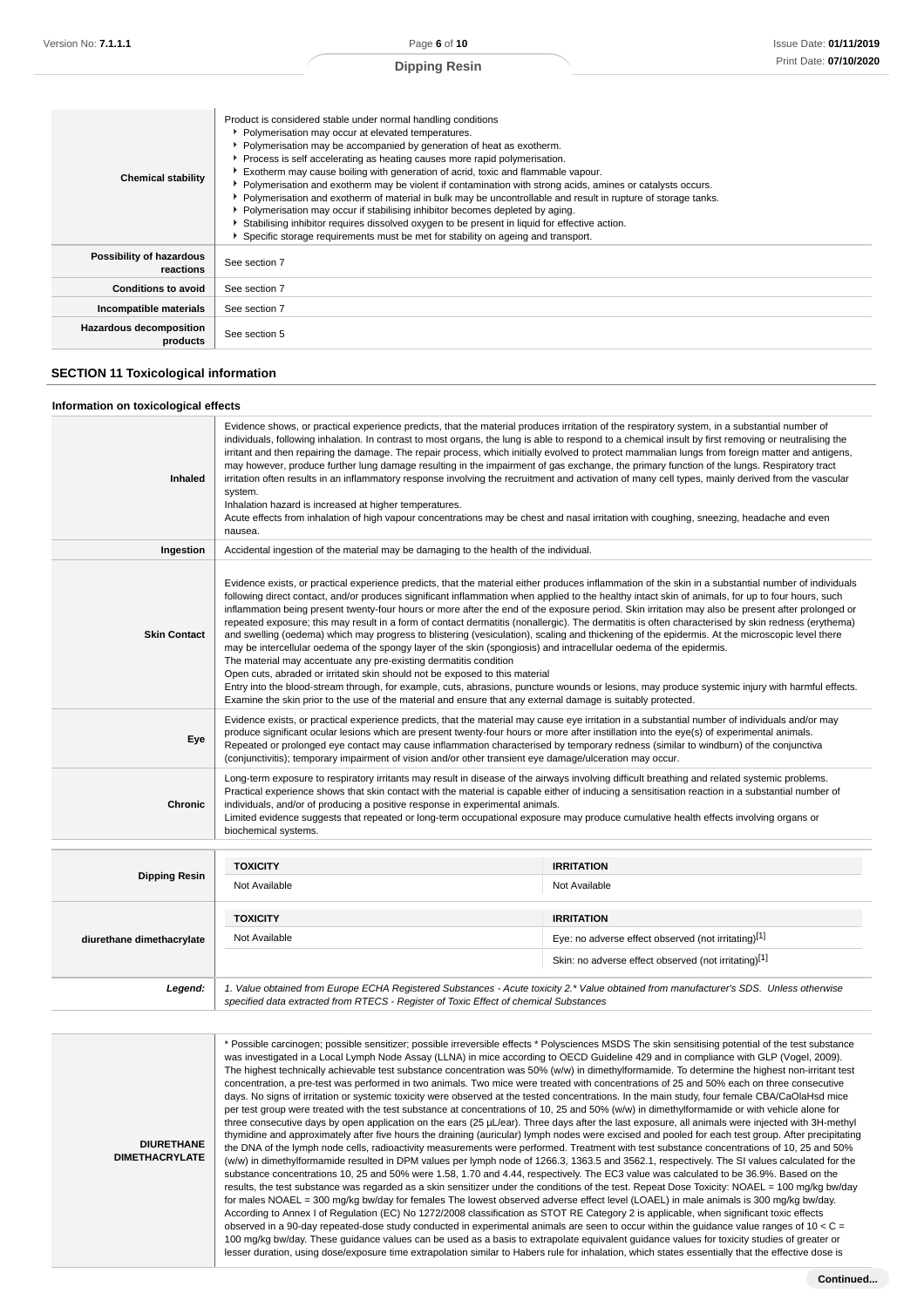| Product is considered stable under normal handling conditions<br>• Polymerisation may occur at elevated temperatures.<br>• Polymerisation may be accompanied by generation of heat as exotherm.<br>Process is self accelerating as heating causes more rapid polymerisation.<br>Exotherm may cause boiling with generation of acrid, toxic and flammable vapour.<br><b>Chemical stability</b><br>▶ Polymerisation and exotherm may be violent if contamination with strong acids, amines or catalysts occurs.<br>Polymerisation and exotherm of material in bulk may be uncontrollable and result in rupture of storage tanks.<br>▶ Polymerisation may occur if stabilising inhibitor becomes depleted by aging.<br>Stabilising inhibitor requires dissolved oxygen to be present in liquid for effective action.<br>Specific storage requirements must be met for stability on ageing and transport. |               |
|-------------------------------------------------------------------------------------------------------------------------------------------------------------------------------------------------------------------------------------------------------------------------------------------------------------------------------------------------------------------------------------------------------------------------------------------------------------------------------------------------------------------------------------------------------------------------------------------------------------------------------------------------------------------------------------------------------------------------------------------------------------------------------------------------------------------------------------------------------------------------------------------------------|---------------|
| Possibility of hazardous<br>reactions                                                                                                                                                                                                                                                                                                                                                                                                                                                                                                                                                                                                                                                                                                                                                                                                                                                                 | See section 7 |
| <b>Conditions to avoid</b>                                                                                                                                                                                                                                                                                                                                                                                                                                                                                                                                                                                                                                                                                                                                                                                                                                                                            | See section 7 |
| Incompatible materials                                                                                                                                                                                                                                                                                                                                                                                                                                                                                                                                                                                                                                                                                                                                                                                                                                                                                | See section 7 |
| Hazardous decomposition<br>products                                                                                                                                                                                                                                                                                                                                                                                                                                                                                                                                                                                                                                                                                                                                                                                                                                                                   | See section 5 |

#### **SECTION 11 Toxicological information**

#### **Information on toxicological effects**

| Inhaled                   | Evidence shows, or practical experience predicts, that the material produces irritation of the respiratory system, in a substantial number of<br>individuals, following inhalation. In contrast to most organs, the lung is able to respond to a chemical insult by first removing or neutralising the<br>irritant and then repairing the damage. The repair process, which initially evolved to protect mammalian lungs from foreign matter and antigens,<br>may however, produce further lung damage resulting in the impairment of gas exchange, the primary function of the lungs. Respiratory tract<br>irritation often results in an inflammatory response involving the recruitment and activation of many cell types, mainly derived from the vascular<br>system.<br>Inhalation hazard is increased at higher temperatures.<br>Acute effects from inhalation of high vapour concentrations may be chest and nasal irritation with coughing, sneezing, headache and even<br>nausea. |                                                                                                                                                                                                                                                                                                                                                                                                                                                                                                                                                                                                                                                                                                                                                                                                                                                                                                                                                                                                                                                                                                                                                                                                                                                                                                                      |  |
|---------------------------|--------------------------------------------------------------------------------------------------------------------------------------------------------------------------------------------------------------------------------------------------------------------------------------------------------------------------------------------------------------------------------------------------------------------------------------------------------------------------------------------------------------------------------------------------------------------------------------------------------------------------------------------------------------------------------------------------------------------------------------------------------------------------------------------------------------------------------------------------------------------------------------------------------------------------------------------------------------------------------------------|----------------------------------------------------------------------------------------------------------------------------------------------------------------------------------------------------------------------------------------------------------------------------------------------------------------------------------------------------------------------------------------------------------------------------------------------------------------------------------------------------------------------------------------------------------------------------------------------------------------------------------------------------------------------------------------------------------------------------------------------------------------------------------------------------------------------------------------------------------------------------------------------------------------------------------------------------------------------------------------------------------------------------------------------------------------------------------------------------------------------------------------------------------------------------------------------------------------------------------------------------------------------------------------------------------------------|--|
| Ingestion                 | Accidental ingestion of the material may be damaging to the health of the individual.                                                                                                                                                                                                                                                                                                                                                                                                                                                                                                                                                                                                                                                                                                                                                                                                                                                                                                      |                                                                                                                                                                                                                                                                                                                                                                                                                                                                                                                                                                                                                                                                                                                                                                                                                                                                                                                                                                                                                                                                                                                                                                                                                                                                                                                      |  |
| <b>Skin Contact</b>       | The material may accentuate any pre-existing dermatitis condition<br>Open cuts, abraded or irritated skin should not be exposed to this material                                                                                                                                                                                                                                                                                                                                                                                                                                                                                                                                                                                                                                                                                                                                                                                                                                           | Evidence exists, or practical experience predicts, that the material either produces inflammation of the skin in a substantial number of individuals<br>following direct contact, and/or produces significant inflammation when applied to the healthy intact skin of animals, for up to four hours, such<br>inflammation being present twenty-four hours or more after the end of the exposure period. Skin irritation may also be present after prolonged or<br>repeated exposure; this may result in a form of contact dermatitis (nonallergic). The dermatitis is often characterised by skin redness (erythema)<br>and swelling (oedema) which may progress to blistering (vesiculation), scaling and thickening of the epidermis. At the microscopic level there<br>may be intercellular oedema of the spongy layer of the skin (spongiosis) and intracellular oedema of the epidermis.<br>Entry into the blood-stream through, for example, cuts, abrasions, puncture wounds or lesions, may produce systemic injury with harmful effects.<br>Examine the skin prior to the use of the material and ensure that any external damage is suitably protected.<br>Evidence exists, or practical experience predicts, that the material may cause eye irritation in a substantial number of individuals and/or may |  |
| Eye                       | produce significant ocular lesions which are present twenty-four hours or more after instillation into the eye(s) of experimental animals.<br>Repeated or prolonged eye contact may cause inflammation characterised by temporary redness (similar to windburn) of the conjunctiva<br>(conjunctivitis); temporary impairment of vision and/or other transient eye damage/ulceration may occur.                                                                                                                                                                                                                                                                                                                                                                                                                                                                                                                                                                                             |                                                                                                                                                                                                                                                                                                                                                                                                                                                                                                                                                                                                                                                                                                                                                                                                                                                                                                                                                                                                                                                                                                                                                                                                                                                                                                                      |  |
| <b>Chronic</b>            | Long-term exposure to respiratory irritants may result in disease of the airways involving difficult breathing and related systemic problems.<br>Practical experience shows that skin contact with the material is capable either of inducing a sensitisation reaction in a substantial number of<br>individuals, and/or of producing a positive response in experimental animals.<br>Limited evidence suggests that repeated or long-term occupational exposure may produce cumulative health effects involving organs or<br>biochemical systems.                                                                                                                                                                                                                                                                                                                                                                                                                                         |                                                                                                                                                                                                                                                                                                                                                                                                                                                                                                                                                                                                                                                                                                                                                                                                                                                                                                                                                                                                                                                                                                                                                                                                                                                                                                                      |  |
|                           | <b>TOXICITY</b>                                                                                                                                                                                                                                                                                                                                                                                                                                                                                                                                                                                                                                                                                                                                                                                                                                                                                                                                                                            | <b>IRRITATION</b>                                                                                                                                                                                                                                                                                                                                                                                                                                                                                                                                                                                                                                                                                                                                                                                                                                                                                                                                                                                                                                                                                                                                                                                                                                                                                                    |  |
| <b>Dipping Resin</b>      | Not Available                                                                                                                                                                                                                                                                                                                                                                                                                                                                                                                                                                                                                                                                                                                                                                                                                                                                                                                                                                              | Not Available                                                                                                                                                                                                                                                                                                                                                                                                                                                                                                                                                                                                                                                                                                                                                                                                                                                                                                                                                                                                                                                                                                                                                                                                                                                                                                        |  |
| diurethane dimethacrylate | <b>TOXICITY</b>                                                                                                                                                                                                                                                                                                                                                                                                                                                                                                                                                                                                                                                                                                                                                                                                                                                                                                                                                                            | <b>IRRITATION</b>                                                                                                                                                                                                                                                                                                                                                                                                                                                                                                                                                                                                                                                                                                                                                                                                                                                                                                                                                                                                                                                                                                                                                                                                                                                                                                    |  |
|                           | Not Available                                                                                                                                                                                                                                                                                                                                                                                                                                                                                                                                                                                                                                                                                                                                                                                                                                                                                                                                                                              | Eye: no adverse effect observed (not irritating)[1]                                                                                                                                                                                                                                                                                                                                                                                                                                                                                                                                                                                                                                                                                                                                                                                                                                                                                                                                                                                                                                                                                                                                                                                                                                                                  |  |
|                           |                                                                                                                                                                                                                                                                                                                                                                                                                                                                                                                                                                                                                                                                                                                                                                                                                                                                                                                                                                                            | Skin: no adverse effect observed (not irritating)[1]                                                                                                                                                                                                                                                                                                                                                                                                                                                                                                                                                                                                                                                                                                                                                                                                                                                                                                                                                                                                                                                                                                                                                                                                                                                                 |  |
| Legend:                   | specified data extracted from RTECS - Register of Toxic Effect of chemical Substances                                                                                                                                                                                                                                                                                                                                                                                                                                                                                                                                                                                                                                                                                                                                                                                                                                                                                                      | 1. Value obtained from Europe ECHA Registered Substances - Acute toxicity 2.* Value obtained from manufacturer's SDS. Unless otherwise                                                                                                                                                                                                                                                                                                                                                                                                                                                                                                                                                                                                                                                                                                                                                                                                                                                                                                                                                                                                                                                                                                                                                                               |  |

**DIURETHANE DIMETHACRYLATE** \* Possible carcinogen; possible sensitizer; possible irreversible effects \* Polysciences MSDS The skin sensitising potential of the test substance was investigated in a Local Lymph Node Assay (LLNA) in mice according to OECD Guideline 429 and in compliance with GLP (Vogel, 2009). The highest technically achievable test substance concentration was 50% (w/w) in dimethylformamide. To determine the highest non-irritant test concentration, a pre-test was performed in two animals. Two mice were treated with concentrations of 25 and 50% each on three consecutive days. No signs of irritation or systemic toxicity were observed at the tested concentrations. In the main study, four female CBA/CaOlaHsd mice per test group were treated with the test substance at concentrations of 10, 25 and 50% (w/w) in dimethylformamide or with vehicle alone for three consecutive days by open application on the ears (25 µL/ear). Three days after the last exposure, all animals were injected with 3H-methyl thymidine and approximately after five hours the draining (auricular) lymph nodes were excised and pooled for each test group. After precipitating the DNA of the lymph node cells, radioactivity measurements were performed. Treatment with test substance concentrations of 10, 25 and 50% (w/w) in dimethylformamide resulted in DPM values per lymph node of 1266.3, 1363.5 and 3562.1, respectively. The SI values calculated for the substance concentrations 10, 25 and 50% were 1.58, 1.70 and 4.44, respectively. The EC3 value was calculated to be 36.9%. Based on the results, the test substance was regarded as a skin sensitizer under the conditions of the test. Repeat Dose Toxicity: NOAEL = 100 mg/kg bw/day for males NOAEL = 300 mg/kg bw/day for females The lowest observed adverse effect level (LOAEL) in male animals is 300 mg/kg bw/day. According to Annex I of Regulation (EC) No 1272/2008 classification as STOT RE Category 2 is applicable, when significant toxic effects observed in a 90-day repeated-dose study conducted in experimental animals are seen to occur within the guidance value ranges of 10 < C = 100 mg/kg bw/day. These guidance values can be used as a basis to extrapolate equivalent guidance values for toxicity studies of greater or lesser duration, using dose/exposure time extrapolation similar to Habers rule for inhalation, which states essentially that the effective dose is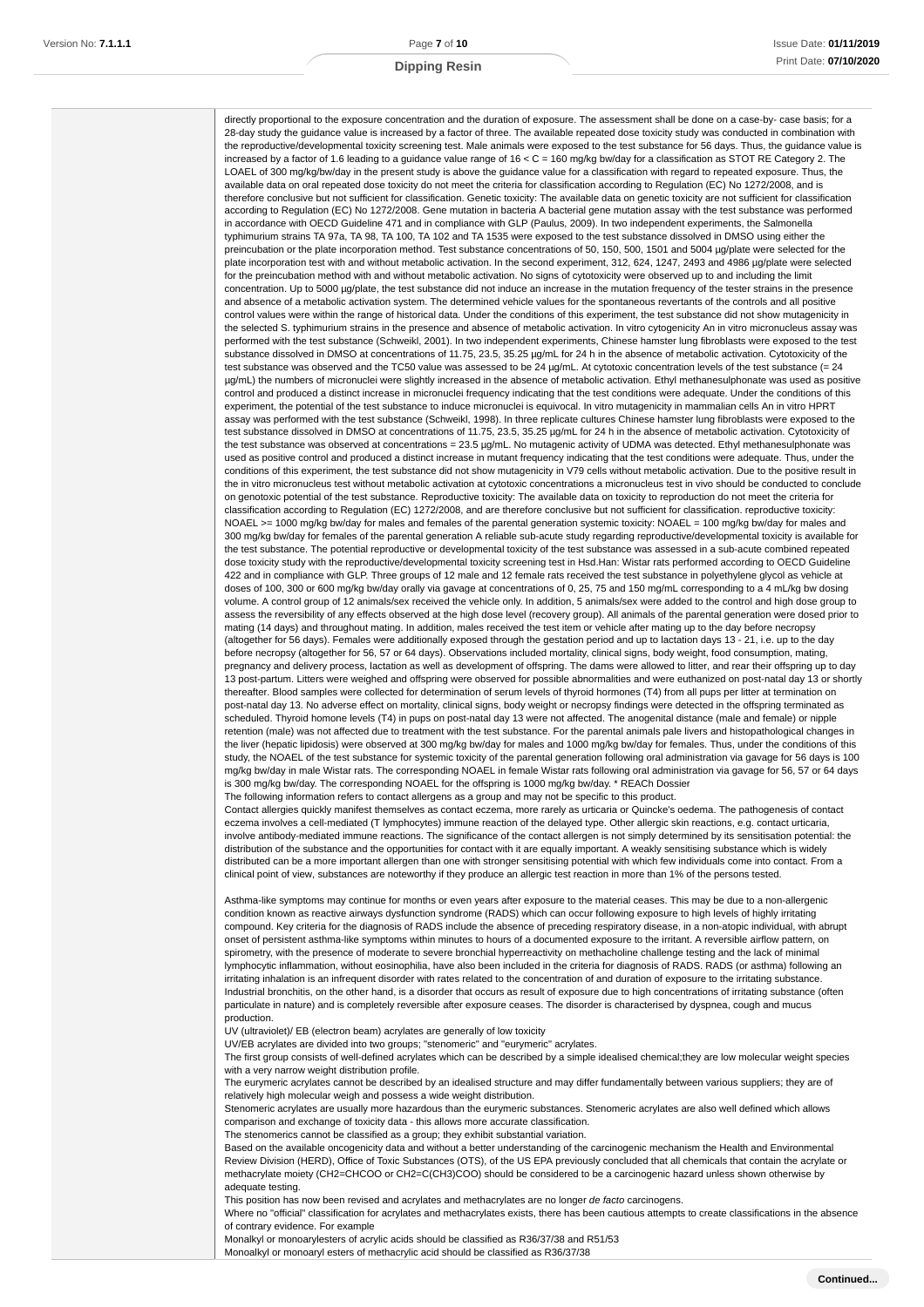directly proportional to the exposure concentration and the duration of exposure. The assessment shall be done on a case-by- case basis; for a 28-day study the guidance value is increased by a factor of three. The available repeated dose toxicity study was conducted in combination with the reproductive/developmental toxicity screening test. Male animals were exposed to the test substance for 56 days. Thus, the guidance value is increased by a factor of 1.6 leading to a guidance value range of 16 < C = 160 mg/kg bw/day for a classification as STOT RE Category 2. The LOAEL of 300 mg/kg/bw/day in the present study is above the guidance value for a classification with regard to repeated exposure. Thus, the available data on oral repeated dose toxicity do not meet the criteria for classification according to Regulation (EC) No 1272/2008, and is therefore conclusive but not sufficient for classification. Genetic toxicity: The available data on genetic toxicity are not sufficient for classification according to Regulation (EC) No 1272/2008. Gene mutation in bacteria A bacterial gene mutation assay with the test substance was performed in accordance with OECD Guideline 471 and in compliance with GLP (Paulus, 2009). In two independent experiments, the Salmonella typhimurium strains TA 97a, TA 98, TA 100, TA 102 and TA 1535 were exposed to the test substance dissolved in DMSO using either the preincubation or the plate incorporation method. Test substance concentrations of 50, 150, 500, 1501 and 5004 µg/plate were selected for the plate incorporation test with and without metabolic activation. In the second experiment, 312, 624, 1247, 2493 and 4986 µg/plate were selected for the preincubation method with and without metabolic activation. No signs of cytotoxicity were observed up to and including the limit concentration. Up to 5000 µg/plate, the test substance did not induce an increase in the mutation frequency of the tester strains in the presence and absence of a metabolic activation system. The determined vehicle values for the spontaneous revertants of the controls and all positive control values were within the range of historical data. Under the conditions of this experiment, the test substance did not show mutagenicity in the selected S. typhimurium strains in the presence and absence of metabolic activation. In vitro cytogenicity An in vitro micronucleus assay was performed with the test substance (Schweikl, 2001). In two independent experiments, Chinese hamster lung fibroblasts were exposed to the test substance dissolved in DMSO at concentrations of 11.75, 23.5, 35.25 µg/mL for 24 h in the absence of metabolic activation. Cytotoxicity of the test substance was observed and the TC50 value was assessed to be 24 ug/mL. At cytotoxic concentration levels of the test substance (= 24 µg/mL) the numbers of micronuclei were slightly increased in the absence of metabolic activation. Ethyl methanesulphonate was used as positive control and produced a distinct increase in micronuclei frequency indicating that the test conditions were adequate. Under the conditions of this experiment, the potential of the test substance to induce micronuclei is equivocal. In vitro mutagenicity in mammalian cells An in vitro HPRT assay was performed with the test substance (Schweikl, 1998). In three replicate cultures Chinese hamster lung fibroblasts were exposed to the test substance dissolved in DMSO at concentrations of 11.75, 23.5, 35.25 µg/mL for 24 h in the absence of metabolic activation. Cytotoxicity of the test substance was observed at concentrations = 23.5 µg/mL. No mutagenic activity of UDMA was detected. Ethyl methanesulphonate was used as positive control and produced a distinct increase in mutant frequency indicating that the test conditions were adequate. Thus, under the conditions of this experiment, the test substance did not show mutagenicity in V79 cells without metabolic activation. Due to the positive result in the in vitro micronucleus test without metabolic activation at cytotoxic concentrations a micronucleus test in vivo should be conducted to conclude on genotoxic potential of the test substance. Reproductive toxicity: The available data on toxicity to reproduction do not meet the criteria for classification according to Regulation (EC) 1272/2008, and are therefore conclusive but not sufficient for classification. reproductive toxicity: NOAEL >= 1000 mg/kg bw/day for males and females of the parental generation systemic toxicity: NOAEL = 100 mg/kg bw/day for males and 300 mg/kg bw/day for females of the parental generation A reliable sub-acute study regarding reproductive/developmental toxicity is available for the test substance. The potential reproductive or developmental toxicity of the test substance was assessed in a sub-acute combined repeated dose toxicity study with the reproductive/developmental toxicity screening test in Hsd.Han: Wistar rats performed according to OECD Guideline 422 and in compliance with GLP. Three groups of 12 male and 12 female rats received the test substance in polyethylene glycol as vehicle at doses of 100, 300 or 600 mg/kg bw/day orally via gavage at concentrations of 0, 25, 75 and 150 mg/mL corresponding to a 4 mL/kg bw dosing volume. A control group of 12 animals/sex received the vehicle only. In addition, 5 animals/sex were added to the control and high dose group to assess the reversibility of any effects observed at the high dose level (recovery group). All animals of the parental generation were dosed prior to mating (14 days) and throughout mating. In addition, males received the test item or vehicle after mating up to the day before necropsy (altogether for 56 days). Females were additionally exposed through the gestation period and up to lactation days 13 - 21, i.e. up to the day before necropsy (altogether for 56, 57 or 64 days). Observations included mortality, clinical signs, body weight, food consumption, mating, pregnancy and delivery process, lactation as well as development of offspring. The dams were allowed to litter, and rear their offspring up to day 13 post-partum. Litters were weighed and offspring were observed for possible abnormalities and were euthanized on post-natal day 13 or shortly thereafter. Blood samples were collected for determination of serum levels of thyroid hormones (T4) from all pups per litter at termination on post-natal day 13. No adverse effect on mortality, clinical signs, body weight or necropsy findings were detected in the offspring terminated as scheduled. Thyroid homone levels (T4) in pups on post-natal day 13 were not affected. The anogenital distance (male and female) or nipple retention (male) was not affected due to treatment with the test substance. For the parental animals pale livers and histopathological changes in the liver (hepatic lipidosis) were observed at 300 mg/kg bw/day for males and 1000 mg/kg bw/day for females. Thus, under the conditions of this study, the NOAEL of the test substance for systemic toxicity of the parental generation following oral administration via gavage for 56 days is 100 mg/kg bw/day in male Wistar rats. The corresponding NOAEL in female Wistar rats following oral administration via gavage for 56, 57 or 64 days is 300 mg/kg bw/day. The corresponding NOAEL for the offspring is 1000 mg/kg bw/day. \* REACh Dossier The following information refers to contact allergens as a group and may not be specific to this product.

Contact allergies quickly manifest themselves as contact eczema, more rarely as urticaria or Quincke's oedema. The pathogenesis of contact eczema involves a cell-mediated (T lymphocytes) immune reaction of the delayed type. Other allergic skin reactions, e.g. contact urticaria, involve antibody-mediated immune reactions. The significance of the contact allergen is not simply determined by its sensitisation potential: the distribution of the substance and the opportunities for contact with it are equally important. A weakly sensitising substance which is widely distributed can be a more important allergen than one with stronger sensitising potential with which few individuals come into contact. From a clinical point of view, substances are noteworthy if they produce an allergic test reaction in more than 1% of the persons tested.

Asthma-like symptoms may continue for months or even years after exposure to the material ceases. This may be due to a non-allergenic condition known as reactive airways dysfunction syndrome (RADS) which can occur following exposure to high levels of highly irritating compound. Key criteria for the diagnosis of RADS include the absence of preceding respiratory disease, in a non-atopic individual, with abrupt onset of persistent asthma-like symptoms within minutes to hours of a documented exposure to the irritant. A reversible airflow pattern, on spirometry, with the presence of moderate to severe bronchial hyperreactivity on methacholine challenge testing and the lack of minimal lymphocytic inflammation, without eosinophilia, have also been included in the criteria for diagnosis of RADS. RADS (or asthma) following an irritating inhalation is an infrequent disorder with rates related to the concentration of and duration of exposure to the irritating substance. Industrial bronchitis, on the other hand, is a disorder that occurs as result of exposure due to high concentrations of irritating substance (often particulate in nature) and is completely reversible after exposure ceases. The disorder is characterised by dyspnea, cough and mucus production.

UV (ultraviolet)/ EB (electron beam) acrylates are generally of low toxicity

UV/EB acrylates are divided into two groups; "stenomeric" and "eurymeric" acrylates.

The first group consists of well-defined acrylates which can be described by a simple idealised chemical;they are low molecular weight species with a very narrow weight distribution profile.

The eurymeric acrylates cannot be described by an idealised structure and may differ fundamentally between various suppliers; they are of relatively high molecular weigh and possess a wide weight distribution.

Stenomeric acrylates are usually more hazardous than the eurymeric substances. Stenomeric acrylates are also well defined which allows comparison and exchange of toxicity data - this allows more accurate classification.

The stenomerics cannot be classified as a group; they exhibit substantial variation.

Based on the available oncogenicity data and without a better understanding of the carcinogenic mechanism the Health and Environmental Review Division (HERD), Office of Toxic Substances (OTS), of the US EPA previously concluded that all chemicals that contain the acrylate or methacrylate moiety (CH2=CHCOO or CH2=C(CH3)COO) should be considered to be a carcinogenic hazard unless shown otherwise by adequate testing.

This position has now been revised and acrylates and methacrylates are no longer de facto carcinogens.

Where no "official" classification for acrylates and methacrylates exists, there has been cautious attempts to create classifications in the absence of contrary evidence. For example

Monalkyl or monoarylesters of acrylic acids should be classified as R36/37/38 and R51/53

Monoalkyl or monoaryl esters of methacrylic acid should be classified as R36/37/38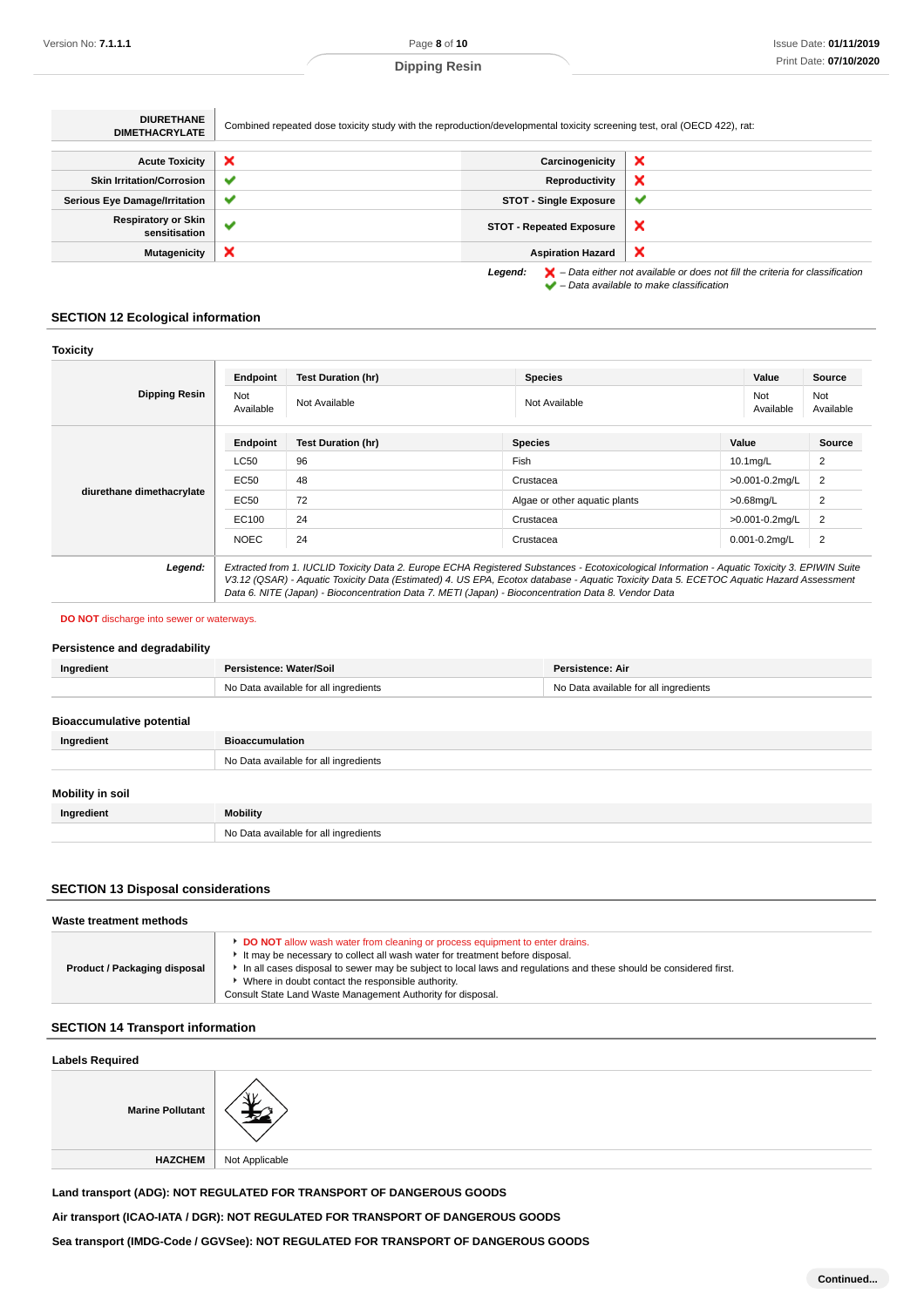| <b>DIURETHANE</b><br><b>DIMETHACRYLATE</b>  | Combined repeated dose toxicity study with the reproduction/developmental toxicity screening test, oral (OECD 422), rat: |                                 |                                                                                                                                                                     |
|---------------------------------------------|--------------------------------------------------------------------------------------------------------------------------|---------------------------------|---------------------------------------------------------------------------------------------------------------------------------------------------------------------|
|                                             |                                                                                                                          |                                 |                                                                                                                                                                     |
| <b>Acute Toxicity</b>                       | ×                                                                                                                        | Carcinogenicity                 | ×                                                                                                                                                                   |
| <b>Skin Irritation/Corrosion</b>            | $\checkmark$                                                                                                             | Reproductivity                  | ×                                                                                                                                                                   |
| <b>Serious Eye Damage/Irritation</b>        | $\checkmark$                                                                                                             | <b>STOT - Single Exposure</b>   | $\checkmark$                                                                                                                                                        |
| <b>Respiratory or Skin</b><br>sensitisation | ✔                                                                                                                        | <b>STOT - Repeated Exposure</b> | ×                                                                                                                                                                   |
| Mutagenicity                                | ×                                                                                                                        | <b>Aspiration Hazard</b>        | ×                                                                                                                                                                   |
|                                             |                                                                                                                          | Legend:                         | $\blacktriangleright$ - Data either not available or does not fill the criteria for classification<br>$\blacktriangleright$ - Data available to make classification |

# **SECTION 12 Ecological information**

| <b>Toxicity</b>           |                                                                                                                                                                                                                                                                                                                                                                                                 |                           |                               |                    |                  |
|---------------------------|-------------------------------------------------------------------------------------------------------------------------------------------------------------------------------------------------------------------------------------------------------------------------------------------------------------------------------------------------------------------------------------------------|---------------------------|-------------------------------|--------------------|------------------|
| Dipping Resin             | Endpoint                                                                                                                                                                                                                                                                                                                                                                                        | <b>Test Duration (hr)</b> | <b>Species</b>                | Value              | Source           |
|                           | Not<br>Available                                                                                                                                                                                                                                                                                                                                                                                | Not Available             | Not Available                 | Not<br>Available   | Not<br>Available |
| diurethane dimethacrylate | Endpoint                                                                                                                                                                                                                                                                                                                                                                                        | <b>Test Duration (hr)</b> | <b>Species</b>                | Value              | Source           |
|                           | <b>LC50</b>                                                                                                                                                                                                                                                                                                                                                                                     | 96                        | Fish                          | 10.1mg/L           | $\overline{2}$   |
|                           | EC50                                                                                                                                                                                                                                                                                                                                                                                            | 48                        | Crustacea                     | >0.001-0.2mg/L     | $\overline{2}$   |
|                           | EC50                                                                                                                                                                                                                                                                                                                                                                                            | 72                        | Algae or other aquatic plants | $>0.68$ mg/L       | $\overline{2}$   |
|                           | EC100                                                                                                                                                                                                                                                                                                                                                                                           | 24                        | Crustacea                     | >0.001-0.2mg/L     | $\overline{2}$   |
|                           | <b>NOEC</b>                                                                                                                                                                                                                                                                                                                                                                                     | 24                        | Crustacea                     | $0.001 - 0.2$ mg/L | $\overline{2}$   |
| Legend:                   | Extracted from 1. IUCLID Toxicity Data 2. Europe ECHA Registered Substances - Ecotoxicological Information - Aquatic Toxicity 3. EPIWIN Suite<br>V3.12 (QSAR) - Aquatic Toxicity Data (Estimated) 4. US EPA, Ecotox database - Aquatic Toxicity Data 5. ECETOC Aquatic Hazard Assessment<br>Data 6. NITE (Japan) - Bioconcentration Data 7. METI (Japan) - Bioconcentration Data 8. Vendor Data |                           |                               |                    |                  |

#### **DO NOT** discharge into sewer or waterways.

#### **Persistence and degradability**

| Ingredient | Persistence: Water/Soil               | Persistence: Air                      |
|------------|---------------------------------------|---------------------------------------|
|            | No Data available for all ingredients | No Data available for all ingredients |

# **Bioaccumulative potential**

| Ingredient              | <b>Bioaccumulation</b>                |  |
|-------------------------|---------------------------------------|--|
|                         | No Data available for all ingredients |  |
| <b>Mobility in soil</b> |                                       |  |
| Ingredient              | Mobility                              |  |
|                         | No Data available for all ingredients |  |

# **SECTION 13 Disposal considerations**

| Waste treatment methods      |                                                                                                                                                                                                                                                                                                                                                                                                        |  |
|------------------------------|--------------------------------------------------------------------------------------------------------------------------------------------------------------------------------------------------------------------------------------------------------------------------------------------------------------------------------------------------------------------------------------------------------|--|
| Product / Packaging disposal | DO NOT allow wash water from cleaning or process equipment to enter drains.<br>It may be necessary to collect all wash water for treatment before disposal.<br>In all cases disposal to sewer may be subject to local laws and regulations and these should be considered first.<br>▶ Where in doubt contact the responsible authority.<br>Consult State Land Waste Management Authority for disposal. |  |

# **SECTION 14 Transport information**

| <b>Labels Required</b>  |                |  |
|-------------------------|----------------|--|
| <b>Marine Pollutant</b> |                |  |
| <b>HAZCHEM</b>          | Not Applicable |  |
|                         |                |  |

**Land transport (ADG): NOT REGULATED FOR TRANSPORT OF DANGEROUS GOODS**

**Air transport (ICAO-IATA / DGR): NOT REGULATED FOR TRANSPORT OF DANGEROUS GOODS**

**Sea transport (IMDG-Code / GGVSee): NOT REGULATED FOR TRANSPORT OF DANGEROUS GOODS**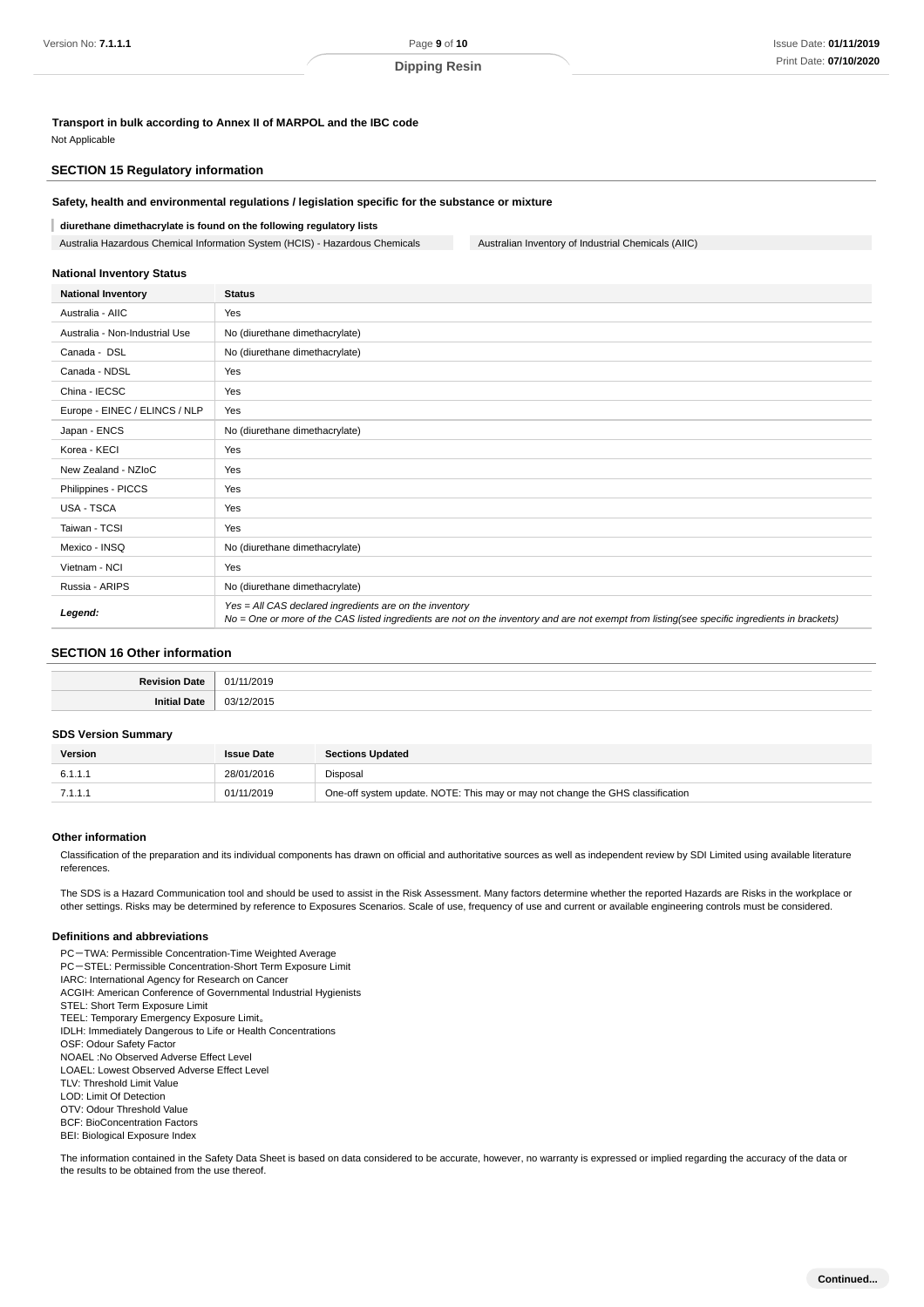**Transport in bulk according to Annex II of MARPOL and the IBC code** Not Applicable

#### **SECTION 15 Regulatory information**

#### **Safety, health and environmental regulations / legislation specific for the substance or mixture**

#### **diurethane dimethacrylate is found on the following regulatory lists**

Australia Hazardous Chemical Information System (HCIS) - Hazardous Chemicals Australian Inventory of Industrial Chemicals (AIIC)

#### **National Inventory Status**

| <b>National Inventory</b>      | <b>Status</b>                                                                                                                                                                                            |
|--------------------------------|----------------------------------------------------------------------------------------------------------------------------------------------------------------------------------------------------------|
| Australia - AIIC               | Yes                                                                                                                                                                                                      |
| Australia - Non-Industrial Use | No (diurethane dimethacrylate)                                                                                                                                                                           |
| Canada - DSL                   | No (diurethane dimethacrylate)                                                                                                                                                                           |
| Canada - NDSL                  | Yes                                                                                                                                                                                                      |
| China - IECSC                  | Yes                                                                                                                                                                                                      |
| Europe - EINEC / ELINCS / NLP  | Yes                                                                                                                                                                                                      |
| Japan - ENCS                   | No (diurethane dimethacrylate)                                                                                                                                                                           |
| Korea - KECI                   | Yes                                                                                                                                                                                                      |
| New Zealand - NZIoC            | Yes                                                                                                                                                                                                      |
| Philippines - PICCS            | Yes                                                                                                                                                                                                      |
| <b>USA - TSCA</b>              | Yes                                                                                                                                                                                                      |
| Taiwan - TCSI                  | Yes                                                                                                                                                                                                      |
| Mexico - INSQ                  | No (diurethane dimethacrylate)                                                                                                                                                                           |
| Vietnam - NCI                  | Yes                                                                                                                                                                                                      |
| Russia - ARIPS                 | No (diurethane dimethacrylate)                                                                                                                                                                           |
| Legend:                        | Yes = All CAS declared ingredients are on the inventory<br>No = One or more of the CAS listed ingredients are not on the inventory and are not exempt from listing(see specific ingredients in brackets) |

#### **SECTION 16 Other information**

#### **SDS Version Summary**

| <b>Version</b> | <b>Issue Date</b> | <b>Sections Updated</b>                                                        |
|----------------|-------------------|--------------------------------------------------------------------------------|
| 6.1.1.1        | 28/01/2016        | Disposal                                                                       |
| 7.1.1.1        | 01/11/2019        | One-off system update. NOTE: This may or may not change the GHS classification |

#### **Other information**

Classification of the preparation and its individual components has drawn on official and authoritative sources as well as independent review by SDI Limited using available literature references.

The SDS is a Hazard Communication tool and should be used to assist in the Risk Assessment. Many factors determine whether the reported Hazards are Risks in the workplace or other settings. Risks may be determined by reference to Exposures Scenarios. Scale of use, frequency of use and current or available engineering controls must be considered.

#### **Definitions and abbreviations**

PC-TWA: Permissible Concentration-Time Weighted Average PC-STEL: Permissible Concentration-Short Term Exposure Limit IARC: International Agency for Research on Cancer ACGIH: American Conference of Governmental Industrial Hygienists STEL: Short Term Exposure Limit TEEL: Temporary Emergency Exposure Limit。 IDLH: Immediately Dangerous to Life or Health Concentrations OSF: Odour Safety Factor NOAEL :No Observed Adverse Effect Level LOAEL: Lowest Observed Adverse Effect Level TLV: Threshold Limit Value LOD: Limit Of Detection OTV: Odour Threshold Value BCF: BioConcentration Factors BEI: Biological Exposure Index

The information contained in the Safety Data Sheet is based on data considered to be accurate, however, no warranty is expressed or implied regarding the accuracy of the data or the results to be obtained from the use thereof.